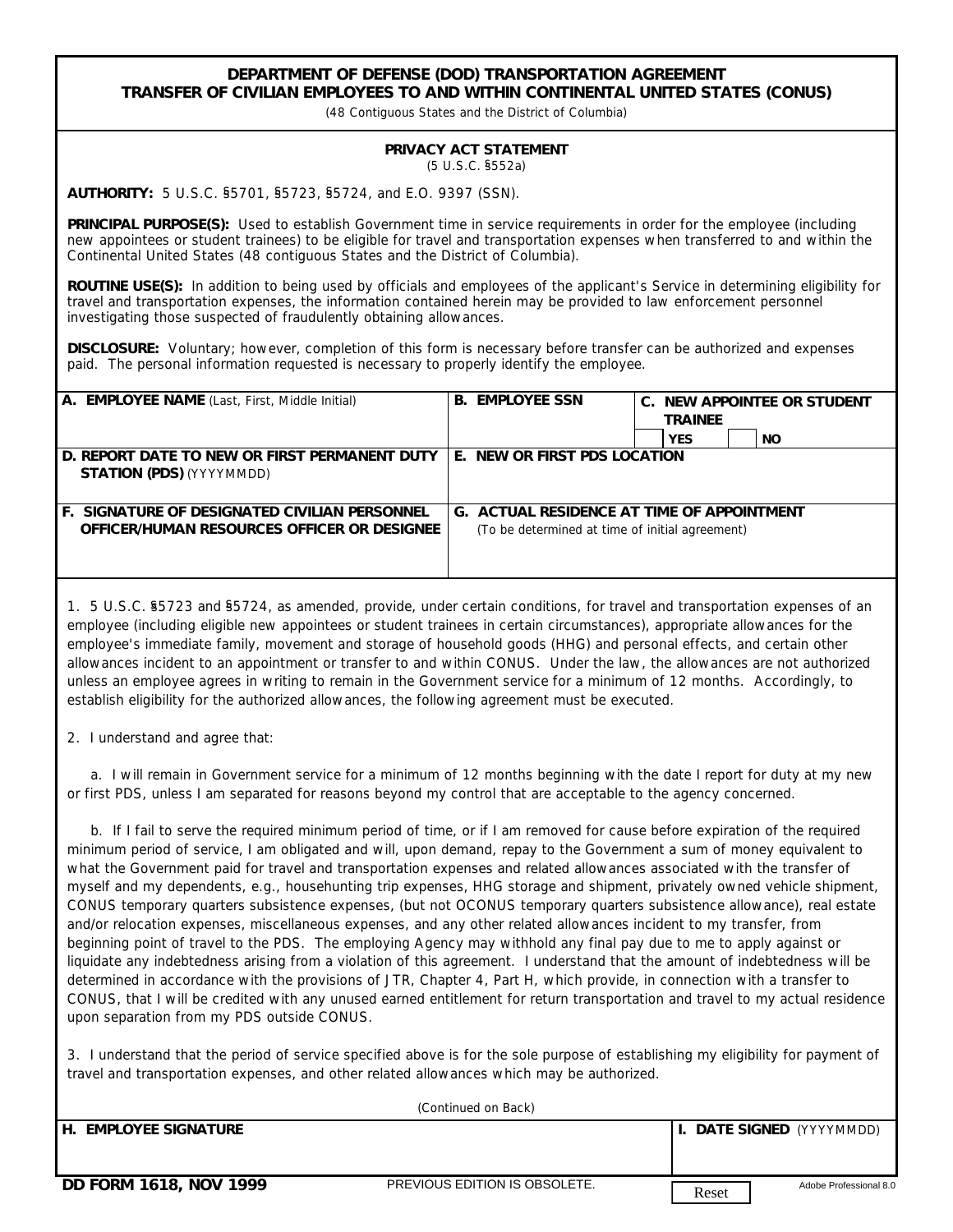## **DEPARTMENT OF DEFENSE (DOD) TRANSPORTATION AGREEMENT TRANSFER OF CIVILIAN EMPLOYEES TO AND WITHIN CONTINENTAL UNITED STATES (CONUS)**

*(48 Contiguous States and the District of Columbia)*

## **PRIVACY ACT STATEMENT** (5 U.S.C. §552a)

**AUTHORITY:** 5 U.S.C. §5701, §5723, §5724, and E.O. 9397 (SSN).

**PRINCIPAL PURPOSE(S):** Used to establish Government time in service requirements in order for the employee (including new appointees or student trainees) to be eligible for travel and transportation expenses when transferred to and within the Continental United States (48 contiguous States and the District of Columbia).

**ROUTINE USE(S):** In addition to being used by officials and employees of the applicant's Service in determining eligibility for travel and transportation expenses, the information contained herein may be provided to law enforcement personnel investigating those suspected of fraudulently obtaining allowances.

**DISCLOSURE:** Voluntary; however, completion of this form is necessary before transfer can be authorized and expenses paid. The personal information requested is necessary to properly identify the employee.

| A. EMPLOYEE NAME (Last, First, Middle Initial)                                                      | B. | <b>EMPLOYEE SSN</b>                                                                                  | C. | <b>TRAINEE</b><br>YES | NEW APPOINTEE OR STUDENT<br><b>NO</b> |
|-----------------------------------------------------------------------------------------------------|----|------------------------------------------------------------------------------------------------------|----|-----------------------|---------------------------------------|
| D. REPORT DATE TO NEW OR FIRST PERMANENT DUTY<br><b>STATION (PDS)</b> (YYYYMMDD)                    |    | E. NEW OR FIRST PDS LOCATION                                                                         |    |                       |                                       |
| <b>F. SIGNATURE OF DESIGNATED CIVILIAN PERSONNEL</b><br>OFFICER/HUMAN RESOURCES OFFICER OR DESIGNEE |    | <b>G. ACTUAL RESIDENCE AT TIME OF APPOINTMENT</b><br>(To be determined at time of initial agreement) |    |                       |                                       |

1. 5 U.S.C. §5723 and §5724, as amended, provide, under certain conditions, for travel and transportation expenses of an employee (including eligible new appointees or student trainees in certain circumstances), appropriate allowances for the employee's immediate family, movement and storage of household goods (HHG) and personal effects, and certain other allowances incident to an appointment or transfer to and within CONUS. Under the law, the allowances are not authorized unless an employee agrees in writing to remain in the Government service for a minimum of 12 months. Accordingly, to establish eligibility for the authorized allowances, the following agreement must be executed.

2. I understand and agree that:

 a. I will remain in Government service for a minimum of 12 months beginning with the date I report for duty at my new or first PDS, unless I am separated for reasons beyond my control that are acceptable to the agency concerned.

 b. If I fail to serve the required minimum period of time, or if I am removed for cause before expiration of the required minimum period of service, I am obligated and will, upon demand, repay to the Government a sum of money equivalent to what the Government paid for travel and transportation expenses and related allowances associated with the transfer of myself and my dependents, e.g., househunting trip expenses, HHG storage and shipment, privately owned vehicle shipment, CONUS temporary quarters subsistence expenses, (but not OCONUS temporary quarters subsistence allowance), real estate and/or relocation expenses, miscellaneous expenses, and any other related allowances incident to my transfer, from beginning point of travel to the PDS. The employing Agency may withhold any final pay due to me to apply against or liquidate any indebtedness arising from a violation of this agreement. I understand that the amount of indebtedness will be determined in accordance with the provisions of JTR, Chapter 4, Part H, which provide, in connection with a transfer to CONUS, that I will be credited with any unused earned entitlement for return transportation and travel to my actual residence upon separation from my PDS outside CONUS.

3. I understand that the period of service specified above is for the sole purpose of establishing my eligibility for payment of travel and transportation expenses, and other related allowances which may be authorized.

| (Continued on Back)    |                               |                                 |  |  |  |  |  |
|------------------------|-------------------------------|---------------------------------|--|--|--|--|--|
| h. Employee signature  |                               | I. DATE SIGNED (YYYYMMDD)       |  |  |  |  |  |
|                        |                               |                                 |  |  |  |  |  |
|                        |                               |                                 |  |  |  |  |  |
| DD FORM 1618, NOV 1999 | PREVIOUS EDITION IS OBSOLETE. | Adobe Professional 8.0<br>Reset |  |  |  |  |  |